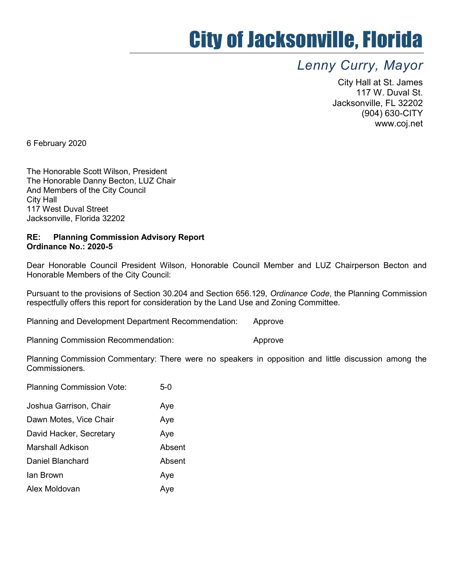## City of Jacksonville, Florida

## Lenny Curry, Mayor

City Hall at St. James 117 W. Duval St. Jacksonville, FL 32202 (904) 630-CITY www.coj.net

6 February 2020

The Honorable Scott Wilson, President The Honorable Danny Becton, LUZ Chair And Members of the City Council City Hall 117 West Duval Street Jacksonville, Florida 32202

## RE: Planning Commission Advisory Report Ordinance No.: 2020-5

Dear Honorable Council President Wilson, Honorable Council Member and LUZ Chairperson Becton and Honorable Members of the City Council:

Pursuant to the provisions of Section 30.204 and Section 656.129, Ordinance Code, the Planning Commission respectfully offers this report for consideration by the Land Use and Zoning Committee.

Planning and Development Department Recommendation: Approve

Planning Commission Recommendation: The Approve

Planning Commission Commentary: There were no speakers in opposition and little discussion among the Commissioners.

| <b>Planning Commission Vote:</b> | $5-0$  |
|----------------------------------|--------|
| Joshua Garrison, Chair           | Aye    |
| Dawn Motes, Vice Chair           | Aye    |
| David Hacker, Secretary          | Aye    |
| Marshall Adkison                 | Absent |
| Daniel Blanchard                 | Absent |
| lan Brown                        | Aye    |
| Alex Moldovan                    | Aye    |